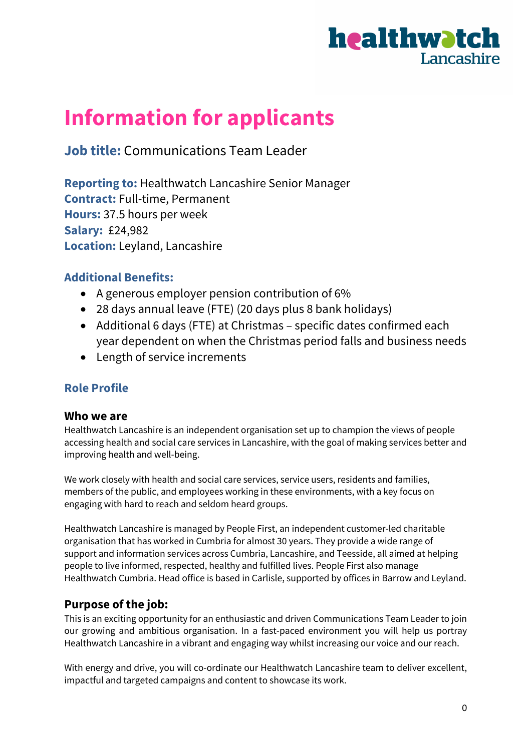

# **Information for applicants**

# **Job title:** Communications Team Leader

**Reporting to:** Healthwatch Lancashire Senior Manager **Contract:** Full-time, Permanent **Hours:** 37.5 hours per week **Salary:** £24,982 **Location:** Leyland, Lancashire

## **Additional Benefits:**

- A generous employer pension contribution of 6%
- 28 days annual leave (FTE) (20 days plus 8 bank holidays)
- Additional 6 days (FTE) at Christmas specific dates confirmed each year dependent on when the Christmas period falls and business needs
- Length of service increments

## **Role Profile**

### **Who we are**

Healthwatch Lancashire is an independent organisation set up to champion the views of people accessing health and social care services in Lancashire, with the goal of making services better and improving health and well-being.

We work closely with health and social care services, service users, residents and families, members of the public, and employees working in these environments, with a key focus on engaging with hard to reach and seldom heard groups.

Healthwatch Lancashire is managed by People First, an independent customer-led charitable organisation that has worked in Cumbria for almost 30 years. They provide a wide range of support and information services across Cumbria, Lancashire, and Teesside, all aimed at helping people to live informed, respected, healthy and fulfilled lives. People First also manage Healthwatch Cumbria. Head office is based in Carlisle, supported by offices in Barrow and Leyland.

# **Purpose of the job:**

This is an exciting opportunity for an enthusiastic and driven Communications Team Leader to join our growing and ambitious organisation. In a fast-paced environment you will help us portray Healthwatch Lancashire in a vibrant and engaging way whilst increasing our voice and our reach.

With energy and drive, you will co-ordinate our Healthwatch Lancashire team to deliver excellent, impactful and targeted campaigns and content to showcase its work.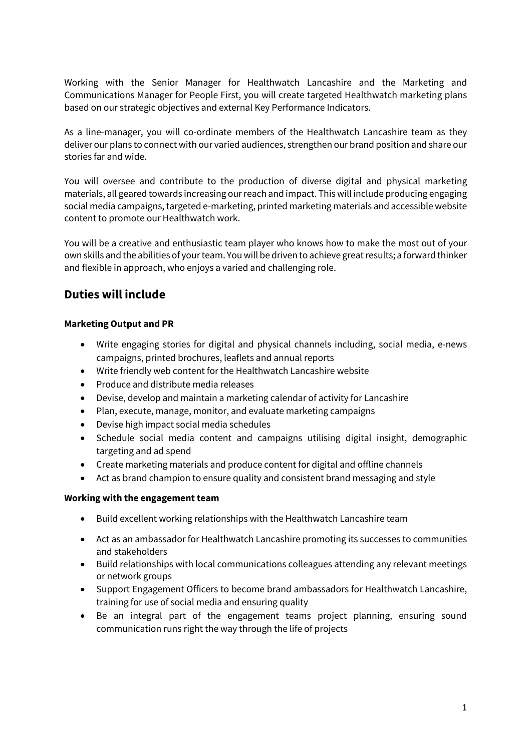Working with the Senior Manager for Healthwatch Lancashire and the Marketing and Communications Manager for People First, you will create targeted Healthwatch marketing plans based on our strategic objectives and external Key Performance Indicators.

As a line-manager, you will co-ordinate members of the Healthwatch Lancashire team as they deliver our plans to connect with our varied audiences, strengthen our brand position and share our stories far and wide.

You will oversee and contribute to the production of diverse digital and physical marketing materials, all geared towards increasing our reach and impact. This will include producing engaging social media campaigns, targeted e-marketing, printed marketing materials and accessible website content to promote our Healthwatch work.

You will be a creative and enthusiastic team player who knows how to make the most out of your own skills and the abilities of your team. You will be driven to achieve great results; a forward thinker and flexible in approach, who enjoys a varied and challenging role.

## **Duties will include**

#### **Marketing Output and PR**

- Write engaging stories for digital and physical channels including, social media, e-news campaigns, printed brochures, leaflets and annual reports
- Write friendly web content for the Healthwatch Lancashire website
- Produce and distribute media releases
- Devise, develop and maintain a marketing calendar of activity for Lancashire
- Plan, execute, manage, monitor, and evaluate marketing campaigns
- Devise high impact social media schedules
- Schedule social media content and campaigns utilising digital insight, demographic targeting and ad spend
- Create marketing materials and produce content for digital and offline channels
- Act as brand champion to ensure quality and consistent brand messaging and style

#### **Working with the engagement team**

- Build excellent working relationships with the Healthwatch Lancashire team
- Act as an ambassador for Healthwatch Lancashire promoting its successes to communities and stakeholders
- Build relationships with local communications colleagues attending any relevant meetings or network groups
- Support Engagement Officers to become brand ambassadors for Healthwatch Lancashire, training for use of social media and ensuring quality
- Be an integral part of the engagement teams project planning, ensuring sound communication runs right the way through the life of projects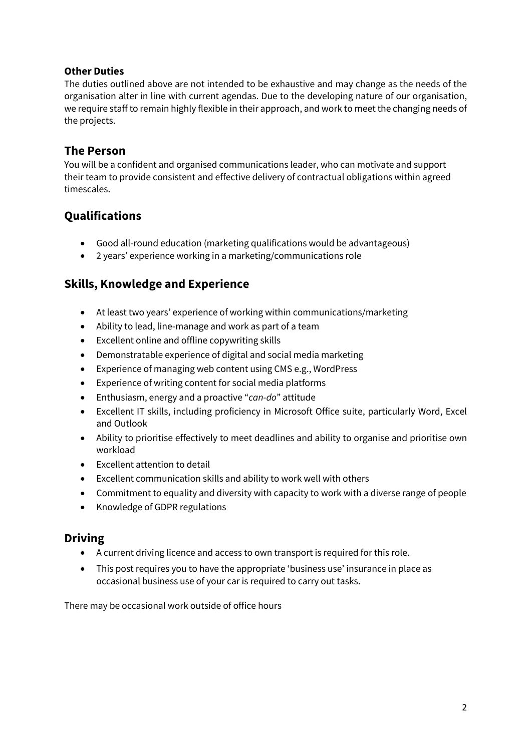#### **Other Duties**

The duties outlined above are not intended to be exhaustive and may change as the needs of the organisation alter in line with current agendas. Due to the developing nature of our organisation, we require staff to remain highly flexible in their approach, and work to meet the changing needs of the projects.

## **The Person**

You will be a confident and organised communications leader, who can motivate and support their team to provide consistent and effective delivery of contractual obligations within agreed timescales.

## **Qualifications**

- Good all-round education (marketing qualifications would be advantageous)
- 2 years' experience working in a marketing/communications role

## **Skills, Knowledge and Experience**

- At least two years' experience of working within communications/marketing
- Ability to lead, line-manage and work as part of a team
- Excellent online and offline copywriting skills
- Demonstratable experience of digital and social media marketing
- Experience of managing web content using CMS e.g., WordPress
- Experience of writing content for social media platforms
- Enthusiasm, energy and a proactive "*can-do*" attitude
- Excellent IT skills, including proficiency in Microsoft Office suite, particularly Word, Excel and Outlook
- Ability to prioritise effectively to meet deadlines and ability to organise and prioritise own workload
- Excellent attention to detail
- Excellent communication skills and ability to work well with others
- Commitment to equality and diversity with capacity to work with a diverse range of people
- Knowledge of GDPR regulations

## **Driving**

- A current driving licence and access to own transport is required for this role.
- This post requires you to have the appropriate 'business use' insurance in place as occasional business use of your car is required to carry out tasks.

There may be occasional work outside of office hours